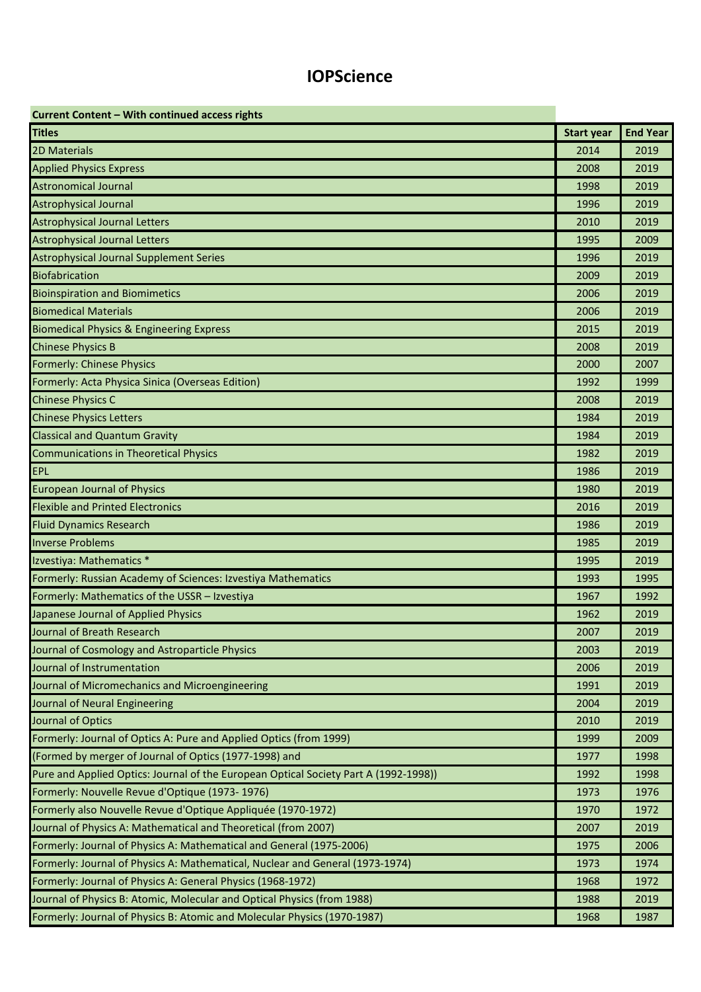## **IOPScience**

| Current Content - With continued access rights                                       |                   |                 |
|--------------------------------------------------------------------------------------|-------------------|-----------------|
| <b>Titles</b>                                                                        | <b>Start year</b> | <b>End Year</b> |
| 2D Materials                                                                         | 2014              | 2019            |
| <b>Applied Physics Express</b>                                                       | 2008              | 2019            |
| <b>Astronomical Journal</b>                                                          | 1998              | 2019            |
| <b>Astrophysical Journal</b>                                                         | 1996              | 2019            |
| <b>Astrophysical Journal Letters</b>                                                 | 2010              | 2019            |
| <b>Astrophysical Journal Letters</b>                                                 | 1995              | 2009            |
| <b>Astrophysical Journal Supplement Series</b>                                       | 1996              | 2019            |
| <b>Biofabrication</b>                                                                | 2009              | 2019            |
| <b>Bioinspiration and Biomimetics</b>                                                | 2006              | 2019            |
| <b>Biomedical Materials</b>                                                          | 2006              | 2019            |
| <b>Biomedical Physics &amp; Engineering Express</b>                                  | 2015              | 2019            |
| <b>Chinese Physics B</b>                                                             | 2008              | 2019            |
| <b>Formerly: Chinese Physics</b>                                                     | 2000              | 2007            |
| Formerly: Acta Physica Sinica (Overseas Edition)                                     | 1992              | 1999            |
| <b>Chinese Physics C</b>                                                             | 2008              | 2019            |
| <b>Chinese Physics Letters</b>                                                       | 1984              | 2019            |
| <b>Classical and Quantum Gravity</b>                                                 | 1984              | 2019            |
| <b>Communications in Theoretical Physics</b>                                         | 1982              | 2019            |
| <b>EPL</b>                                                                           | 1986              | 2019            |
| <b>European Journal of Physics</b>                                                   | 1980              | 2019            |
| <b>Flexible and Printed Electronics</b>                                              | 2016              | 2019            |
| <b>Fluid Dynamics Research</b>                                                       | 1986              | 2019            |
| <b>Inverse Problems</b>                                                              | 1985              | 2019            |
| Izvestiya: Mathematics *                                                             | 1995              | 2019            |
| Formerly: Russian Academy of Sciences: Izvestiya Mathematics                         | 1993              | 1995            |
| Formerly: Mathematics of the USSR - Izvestiya                                        | 1967              | 1992            |
| Japanese Journal of Applied Physics                                                  | 1962              | 2019            |
| Journal of Breath Research                                                           | 2007              | 2019            |
| Journal of Cosmology and Astroparticle Physics                                       | 2003              | 2019            |
| Journal of Instrumentation                                                           | 2006              | 2019            |
| Journal of Micromechanics and Microengineering                                       | 1991              | 2019            |
| Journal of Neural Engineering                                                        | 2004              | 2019            |
| Journal of Optics                                                                    | 2010              | 2019            |
| Formerly: Journal of Optics A: Pure and Applied Optics (from 1999)                   | 1999              | 2009            |
| (Formed by merger of Journal of Optics (1977-1998) and                               | 1977              | 1998            |
| Pure and Applied Optics: Journal of the European Optical Society Part A (1992-1998)) | 1992              | 1998            |
| Formerly: Nouvelle Revue d'Optique (1973-1976)                                       | 1973              | 1976            |
| Formerly also Nouvelle Revue d'Optique Appliquée (1970-1972)                         | 1970              | 1972            |
| Journal of Physics A: Mathematical and Theoretical (from 2007)                       | 2007              | 2019            |
| Formerly: Journal of Physics A: Mathematical and General (1975-2006)                 | 1975              | 2006            |
| Formerly: Journal of Physics A: Mathematical, Nuclear and General (1973-1974)        | 1973              | 1974            |
| Formerly: Journal of Physics A: General Physics (1968-1972)                          | 1968              | 1972            |
| Journal of Physics B: Atomic, Molecular and Optical Physics (from 1988)              | 1988              | 2019            |
| Formerly: Journal of Physics B: Atomic and Molecular Physics (1970-1987)             | 1968              | 1987            |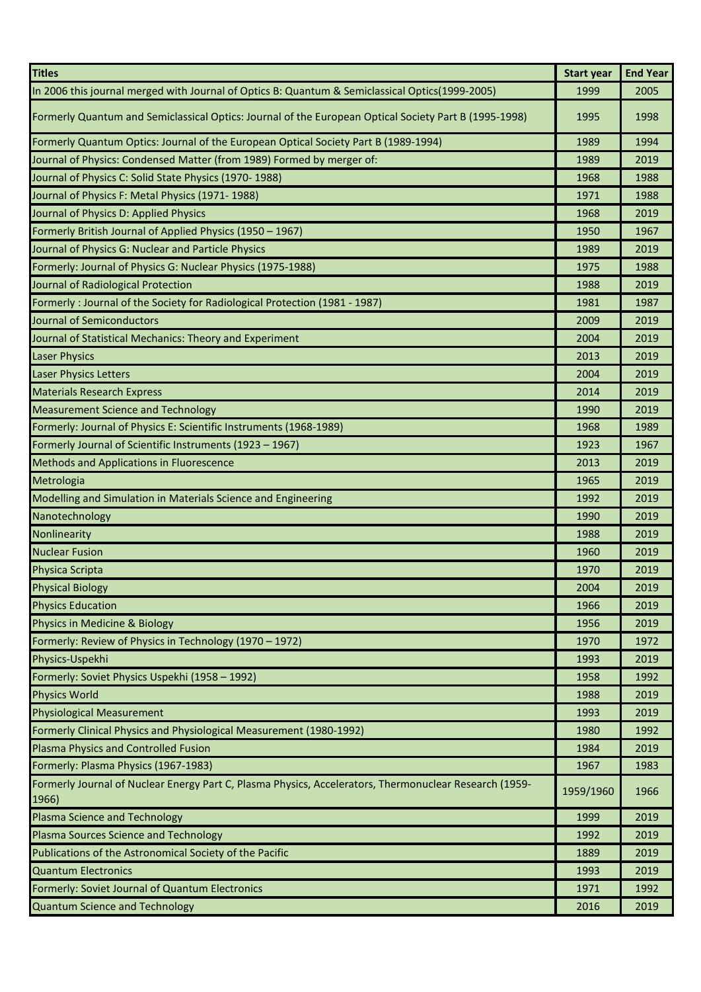| <b>Titles</b>                                                                                                   | <b>Start year</b> | <b>End Year</b> |
|-----------------------------------------------------------------------------------------------------------------|-------------------|-----------------|
| In 2006 this journal merged with Journal of Optics B: Quantum & Semiclassical Optics(1999-2005)                 | 1999              | 2005            |
| Formerly Quantum and Semiclassical Optics: Journal of the European Optical Society Part B (1995-1998)           | 1995              | 1998            |
| Formerly Quantum Optics: Journal of the European Optical Society Part B (1989-1994)                             | 1989              | 1994            |
| Journal of Physics: Condensed Matter (from 1989) Formed by merger of:                                           | 1989              | 2019            |
| Journal of Physics C: Solid State Physics (1970-1988)                                                           | 1968              | 1988            |
| Journal of Physics F: Metal Physics (1971-1988)                                                                 | 1971              | 1988            |
| Journal of Physics D: Applied Physics                                                                           | 1968              | 2019            |
| Formerly British Journal of Applied Physics (1950 - 1967)                                                       | 1950              | 1967            |
| Journal of Physics G: Nuclear and Particle Physics                                                              | 1989              | 2019            |
| Formerly: Journal of Physics G: Nuclear Physics (1975-1988)                                                     | 1975              | 1988            |
| Journal of Radiological Protection                                                                              | 1988              | 2019            |
| Formerly: Journal of the Society for Radiological Protection (1981 - 1987)                                      | 1981              | 1987            |
| <b>Journal of Semiconductors</b>                                                                                | 2009              | 2019            |
| Journal of Statistical Mechanics: Theory and Experiment                                                         | 2004              | 2019            |
| <b>Laser Physics</b>                                                                                            | 2013              | 2019            |
| <b>Laser Physics Letters</b>                                                                                    | 2004              | 2019            |
| <b>Materials Research Express</b>                                                                               | 2014              | 2019            |
| <b>Measurement Science and Technology</b>                                                                       | 1990              | 2019            |
| Formerly: Journal of Physics E: Scientific Instruments (1968-1989)                                              | 1968              | 1989            |
| Formerly Journal of Scientific Instruments (1923 - 1967)                                                        | 1923              | 1967            |
| <b>Methods and Applications in Fluorescence</b>                                                                 | 2013              | 2019            |
| Metrologia                                                                                                      | 1965              | 2019            |
| Modelling and Simulation in Materials Science and Engineering                                                   | 1992              | 2019            |
| Nanotechnology                                                                                                  | 1990              | 2019            |
| Nonlinearity                                                                                                    | 1988              | 2019            |
| <b>Nuclear Fusion</b>                                                                                           | 1960              | 2019            |
| Physica Scripta                                                                                                 | 1970              | 2019            |
| <b>Physical Biology</b>                                                                                         | 2004              | 2019            |
| <b>Physics Education</b>                                                                                        | 1966              | 2019            |
| <b>Physics in Medicine &amp; Biology</b>                                                                        | 1956              | 2019            |
| Formerly: Review of Physics in Technology (1970 - 1972)                                                         | 1970              | 1972            |
| Physics-Uspekhi                                                                                                 | 1993              | 2019            |
| Formerly: Soviet Physics Uspekhi (1958 - 1992)                                                                  | 1958              | 1992            |
| <b>Physics World</b>                                                                                            | 1988              | 2019            |
| <b>Physiological Measurement</b>                                                                                | 1993              | 2019            |
| Formerly Clinical Physics and Physiological Measurement (1980-1992)                                             | 1980              | 1992            |
| Plasma Physics and Controlled Fusion                                                                            | 1984              | 2019            |
| Formerly: Plasma Physics (1967-1983)                                                                            | 1967              | 1983            |
| Formerly Journal of Nuclear Energy Part C, Plasma Physics, Accelerators, Thermonuclear Research (1959-<br>1966) | 1959/1960         | 1966            |
| Plasma Science and Technology                                                                                   | 1999              | 2019            |
| Plasma Sources Science and Technology                                                                           | 1992              | 2019            |
| Publications of the Astronomical Society of the Pacific                                                         | 1889              | 2019            |
| <b>Quantum Electronics</b>                                                                                      | 1993              | 2019            |
| Formerly: Soviet Journal of Quantum Electronics                                                                 | 1971              | 1992            |
| <b>Quantum Science and Technology</b>                                                                           | 2016              | 2019            |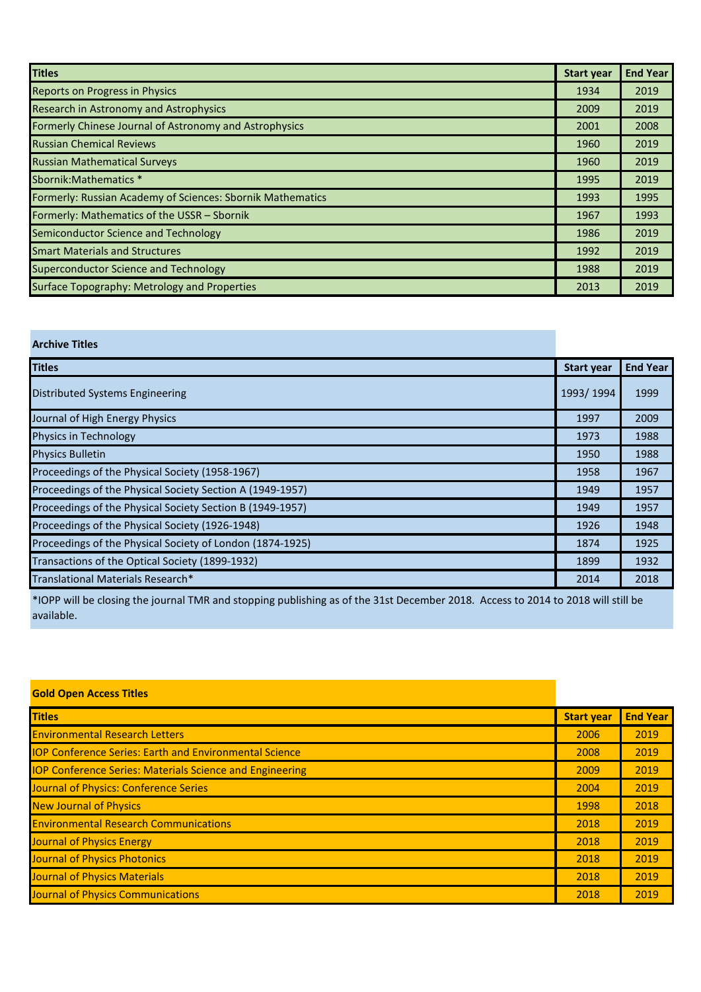| <b>Titles</b>                                              | <b>Start year</b> | <b>End Year</b> |
|------------------------------------------------------------|-------------------|-----------------|
| <b>Reports on Progress in Physics</b>                      | 1934              | 2019            |
| Research in Astronomy and Astrophysics                     | 2009              | 2019            |
| Formerly Chinese Journal of Astronomy and Astrophysics     | 2001              | 2008            |
| <b>Russian Chemical Reviews</b>                            | 1960              | 2019            |
| <b>Russian Mathematical Surveys</b>                        | 1960              | 2019            |
| Sbornik: Mathematics *                                     | 1995              | 2019            |
| Formerly: Russian Academy of Sciences: Sbornik Mathematics | 1993              | 1995            |
| Formerly: Mathematics of the USSR - Sbornik                | 1967              | 1993            |
| Semiconductor Science and Technology                       | 1986              | 2019            |
| <b>Smart Materials and Structures</b>                      | 1992              | 2019            |
| <b>Superconductor Science and Technology</b>               | 1988              | 2019            |
| <b>Surface Topography: Metrology and Properties</b>        | 2013              | 2019            |

## **Titles Start year End Year** Distributed Systems Engineering **1993/ 1994** 1999 1994 1999 1994 1995/ 1994 1999 **Journal of High Energy Physics** 1997 2009 Physics in Technology **1988 1988** Physics Bulletin **1950** 1988 Proceedings of the Physical Society (1958-1967) 1967 1967 1967 Proceedings of the Physical Society Section A (1949-1957) 1957 1957 1957 1957 Proceedings of the Physical Society Section B (1949-1957) 1957 1957 Proceedings of the Physical Society (1926-1948) 1926 1948 Proceedings of the Physical Society of London (1874-1925) 1874 1925 1874 1925 Transactions of the Optical Society (1899-1932) 1899 1932 Translational Materials Research\* 2014 2018

**Archive Titles** 

\*IOPP will be closing the journal TMR and stopping publishing as of the 31st December 2018. Access to 2014 to 2018 will still be available.

| <b>Gold Open Access Titles</b>                                  |                   |                 |
|-----------------------------------------------------------------|-------------------|-----------------|
| <b>Titles</b>                                                   | <b>Start year</b> | <b>End Year</b> |
| <b>Environmental Research Letters</b>                           | 2006              | 2019            |
| <b>IOP Conference Series: Earth and Environmental Science</b>   | 2008              | 2019            |
| <b>IOP Conference Series: Materials Science and Engineering</b> | 2009              | 2019            |
| Journal of Physics: Conference Series                           | 2004              | 2019            |
| <b>New Journal of Physics</b>                                   | 1998              | 2018            |
| <b>Environmental Research Communications</b>                    | 2018              | 2019            |
| <b>Journal of Physics Energy</b>                                | 2018              | 2019            |
| Journal of Physics Photonics                                    | 2018              | 2019            |
| <b>Journal of Physics Materials</b>                             | 2018              | 2019            |
| <b>Journal of Physics Communications</b>                        | 2018              | 2019            |